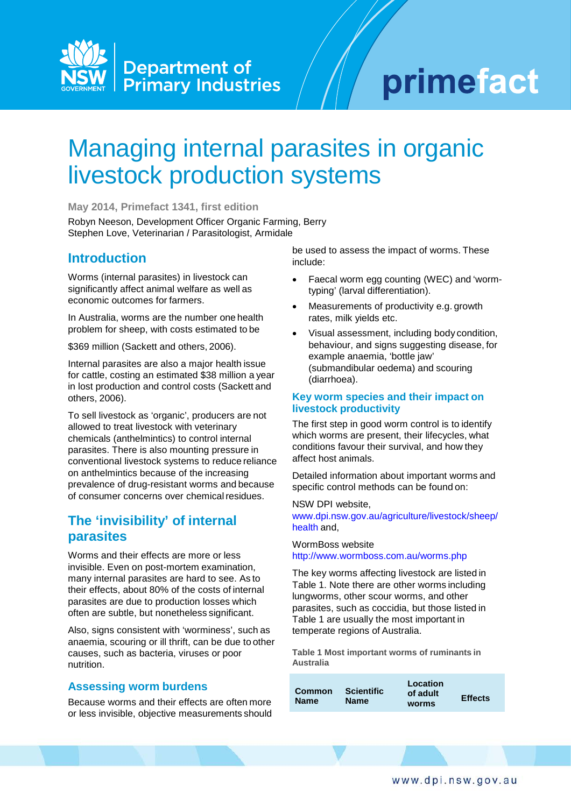

# primefact

## Managing internal parasites in organic livestock production systems

**May 2014, Primefact 1341, first edition**

Robyn Neeson, Development Officer Organic Farming, Berry Stephen Love, Veterinarian / Parasitologist, Armidale

## **Introduction**

Worms (internal parasites) in livestock can significantly affect animal welfare as well as economic outcomes for farmers.

In Australia, worms are the number one health problem for sheep, with costs estimated to be

\$369 million (Sackett and others, 2006).

Internal parasites are also a major health issue for cattle, costing an estimated \$38 million a year in lost production and control costs (Sackett and others, 2006).

To sell livestock as 'organic', producers are not allowed to treat livestock with veterinary chemicals (anthelmintics) to control internal parasites. There is also mounting pressure in conventional livestock systems to reduce reliance on anthelmintics because of the increasing prevalence of drug-resistant worms and because of consumer concerns over chemicalresidues.

## **The 'invisibility' of internal parasites**

Worms and their effects are more or less invisible. Even on post-mortem examination, many internal parasites are hard to see. As to their effects, about 80% of the costs of internal parasites are due to production losses which often are subtle, but nonetheless significant.

Also, signs consistent with 'worminess', such as anaemia, scouring or ill thrift, can be due to other causes, such as bacteria, viruses or poor nutrition.

#### **Assessing worm burdens**

Because worms and their effects are often more or less invisible, objective measurements should be used to assess the impact of worms. These include:

- Faecal worm egg counting (WEC) and 'wormtyping' (larval differentiation).
- Measurements of productivity e.g. growth rates, milk yields etc.
- Visual assessment, including body condition, behaviour, and signs suggesting disease, for example anaemia, 'bottle jaw' (submandibular oedema) and scouring (diarrhoea).

#### **Key worm species and their impact on livestock productivity**

The first step in good worm control is to identify which worms are present, their lifecycles, what conditions favour their survival, and how they affect host animals.

Detailed information about important worms and specific control methods can be found on:

NSW DPI website, [www.dpi.nsw.gov.au/agriculture/livestock/sheep/](http://www.dpi.nsw.gov.au/agriculture/livestock/sheep/) health and,

#### WormBoss website <http://www.wormboss.com.au/worms.php>

The key worms affecting livestock are listed in Table 1. Note there are other worms including lungworms, other scour worms, and other parasites, such as coccidia, but those listed in Table 1 are usually the most important in temperate regions of Australia.

**Table 1 Most important worms of ruminants in Australia**

| Scientific<br>Common<br><b>Name</b><br><b>Name</b> | Location<br>of adult<br><b>worms</b> | <b>Effects</b> |
|----------------------------------------------------|--------------------------------------|----------------|
|----------------------------------------------------|--------------------------------------|----------------|

www.dpi.nsw.gov.au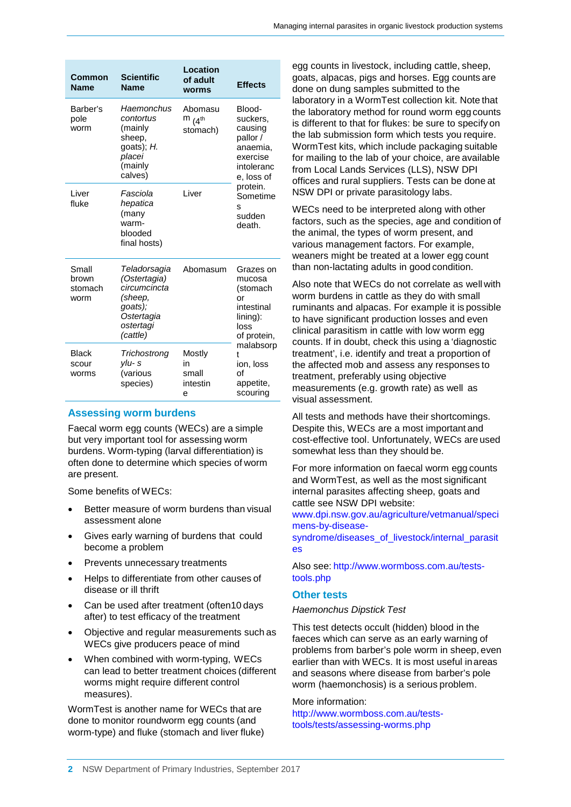| Common<br><b>Name</b>             | <b>Scientific</b><br><b>Name</b>                                                                          | Location<br>of adult<br>worms                  | <b>Effects</b>                                                                                                                                       |
|-----------------------------------|-----------------------------------------------------------------------------------------------------------|------------------------------------------------|------------------------------------------------------------------------------------------------------------------------------------------------------|
| Barber's<br>pole<br>worm          | Haemonchus<br>contortus<br>(mainly<br>sheep,<br>goats); $H$ .<br>placei<br>(mainly<br>calves)             | Abomasu<br>$m$ $\mu$ <sup>th</sup><br>stomach) | Blood-<br>suckers,<br>causing<br>pallor /<br>anaemia,<br>exercise<br>intoleranc<br>e, loss of<br>protein.<br>Sometime<br>S<br>sudden<br>death.       |
| Liver<br>fluke                    | Fasciola<br>hepatica<br>(many<br>warm-<br>blooded<br>final hosts)                                         | Liver                                          |                                                                                                                                                      |
| Small<br>brown<br>stomach<br>worm | Teladorsagia<br>(Ostertagia)<br>circumcincta<br>(sheep,<br>goats);<br>Ostertagia<br>ostertagi<br>(cattle) | Abomasum                                       | Grazes on<br>mucosa<br>(stomach<br>or<br>intestinal<br>lining):<br>loss<br>of protein,<br>malabsorp<br>t<br>ion, loss<br>Ωf<br>appetite,<br>scouring |
| <b>Black</b><br>scour<br>worms    | Trichostrong<br>$V$ lu-s<br>(various<br>species)                                                          | Mostly<br>in<br>small<br>intestin<br>e         |                                                                                                                                                      |

#### **Assessing worm burdens**

Faecal worm egg counts (WECs) are a simple but very important tool for assessing worm burdens. Worm-typing (larval differentiation) is often done to determine which species of worm are present.

Some benefits of WECs:

- Better measure of worm burdens than visual assessment alone
- Gives early warning of burdens that could become a problem
- Prevents unnecessary treatments
- Helps to differentiate from other causes of disease or ill thrift
- Can be used after treatment (often10 days after) to test efficacy of the treatment
- Objective and regular measurements such as WECs give producers peace of mind
- When combined with worm-typing, WECs can lead to better treatment choices (different worms might require different control measures).

WormTest is another name for WECs that are done to monitor roundworm egg counts (and worm-type) and fluke (stomach and liver fluke) egg counts in livestock, including cattle, sheep, goats, alpacas, pigs and horses. Egg counts are done on dung samples submitted to the laboratory in a WormTest collection kit. Note that the laboratory method for round worm egg counts is different to that for flukes: be sure to specify on the lab submission form which tests you require. WormTest kits, which include packaging suitable for mailing to the lab of your choice, are available from Local Lands Services (LLS), NSW DPI offices and rural suppliers. Tests can be done at NSW DPI or private parasitology labs.

WECs need to be interpreted along with other factors, such as the species, age and condition of the animal, the types of worm present, and various management factors. For example, weaners might be treated at a lower egg count than non-lactating adults in good condition.

Also note that WECs do not correlate as well with worm burdens in cattle as they do with small ruminants and alpacas. For example it is possible to have significant production losses and even clinical parasitism in cattle with low worm egg counts. If in doubt, check this using a 'diagnostic treatment', i.e. identify and treat a proportion of the affected mob and assess any responses to treatment, preferably using objective measurements (e.g. growth rate) as well as visual assessment.

All tests and methods have their shortcomings. Despite this, WECs are a most important and cost-effective tool. Unfortunately, WECs are used somewhat less than they should be.

For more information on faecal worm egg counts and WormTest, as well as the most significant internal parasites affecting sheep, goats and cattle see NSW DPI website:

[www.dpi.nsw.gov.au/agriculture/vetmanual/speci](http://www.dpi.nsw.gov.au/agriculture/vetmanual/speci) mens-by-disease-

syndrome/diseases\_of\_livestock/internal\_parasit es

Also see: [http://www.wormboss.com.au/tests](http://www.wormboss.com.au/tests-)tools.php

#### **Other tests**

#### *Haemonchus Dipstick Test*

This test detects occult (hidden) blood in the faeces which can serve as an early warning of problems from barber's pole worm in sheep, even earlier than with WECs. It is most useful inareas and seasons where disease from barber's pole worm (haemonchosis) is a serious problem.

#### More information:

[http://www.wormboss.com.au/tests](http://www.wormboss.com.au/tests-)tools/tests/assessing-worms.php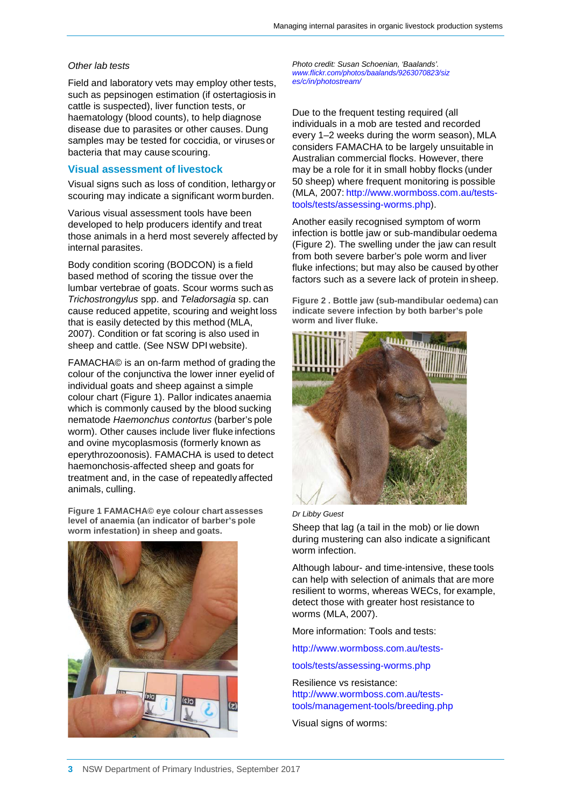#### *Other lab tests*

Field and laboratory vets may employ other tests, such as pepsinogen estimation (if ostertagiosis in cattle is suspected), liver function tests, or haematology (blood counts), to help diagnose disease due to parasites or other causes. Dung samples may be tested for coccidia, or viruses or bacteria that may cause scouring.

#### **Visual assessment of livestock**

Visual signs such as loss of condition, lethargy or scouring may indicate a significant worm burden.

Various visual assessment tools have been developed to help producers identify and treat those animals in a herd most severely affected by internal parasites.

Body condition scoring (BODCON) is a field based method of scoring the tissue over the lumbar vertebrae of goats. Scour worms such as *Trichostrongylus* spp. and *Teladorsagia* sp. can cause reduced appetite, scouring and weight loss that is easily detected by this method (MLA, 2007). Condition or fat scoring is also used in sheep and cattle. (See NSW DPI website).

FAMACHA© is an on-farm method of grading the colour of the conjunctiva the lower inner eyelid of individual goats and sheep against a simple colour chart (Figure 1). Pallor indicates anaemia which is commonly caused by the blood sucking nematode *Haemonchus contortus* (barber's pole worm). Other causes include liver fluke infections and ovine mycoplasmosis (formerly known as eperythrozoonosis). FAMACHA is used to detect haemonchosis-affected sheep and goats for treatment and, in the case of repeatedly affected animals, culling.

**Figure 1 FAMACHA© eye colour chart assesses level of anaemia (an indicator of barber's pole worm infestation) in sheep and goats.**



*Photo credit: Susan Schoenian, 'Baalands'. [www.flickr.com/photos/baalands/9263070823/siz](http://www.flickr.com/photos/baalands/9263070823/siz) es/c/in/photostream/*

Due to the frequent testing required (all individuals in a mob are tested and recorded every 1–2 weeks during the worm season), MLA considers FAMACHA to be largely unsuitable in Australian commercial flocks. However, there may be a role for it in small hobby flocks (under 50 sheep) where frequent monitoring is possible (MLA, 2007: [http://www.wormboss.com.au/tests](http://www.wormboss.com.au/tests-)tools/tests/assessing-worms.php).

Another easily recognised symptom of worm infection is bottle jaw or sub-mandibular oedema (Figure 2). The swelling under the jaw can result from both severe barber's pole worm and liver fluke infections; but may also be caused byother factors such as a severe lack of protein in sheep.

**Figure 2 . Bottle jaw (sub-mandibular oedema) can indicate severe infection by both barber's pole worm and liver fluke.**



*Dr Libby Guest*

Sheep that lag (a tail in the mob) or lie down during mustering can also indicate a significant worm infection.

Although labour- and time-intensive, these tools can help with selection of animals that are more resilient to worms, whereas WECs, for example, detect those with greater host resistance to worms (MLA, 2007).

More information: Tools and tests:

<http://www.wormboss.com.au/tests->

tools/tests/assessing-worms.php

Resilience vs resistance: [http://www.wormboss.com.au/tests](http://www.wormboss.com.au/tests-)tools/management-tools/breeding.php

Visual signs of worms: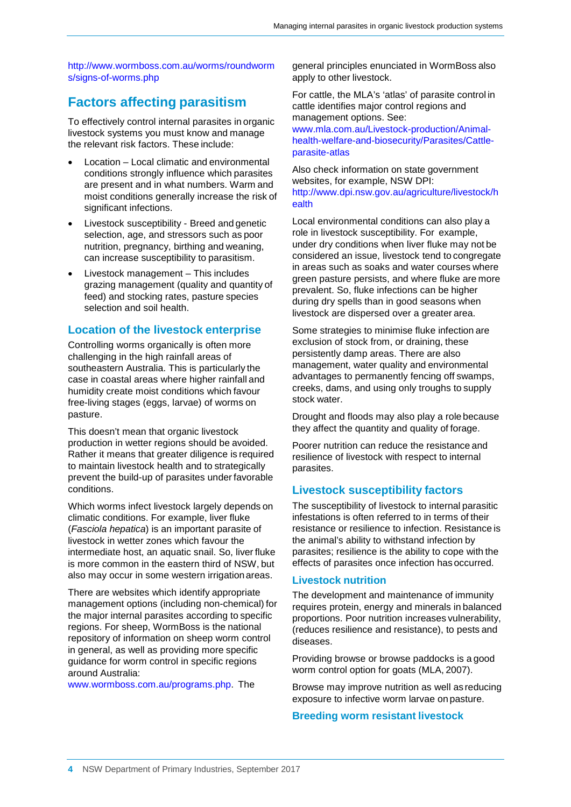<http://www.wormboss.com.au/worms/roundworm> s/signs-of-worms.php

## **Factors affecting parasitism**

To effectively control internal parasites in organic livestock systems you must know and manage the relevant risk factors. These include:

- Location Local climatic and environmental conditions strongly influence which parasites are present and in what numbers. Warm and moist conditions generally increase the risk of significant infections.
- Livestock susceptibility Breed and genetic selection, age, and stressors such as poor nutrition, pregnancy, birthing and weaning, can increase susceptibility to parasitism.
- Livestock management This includes grazing management (quality and quantity of feed) and stocking rates, pasture species selection and soil health.

#### **Location of the livestock enterprise**

Controlling worms organically is often more challenging in the high rainfall areas of southeastern Australia. This is particularly the case in coastal areas where higher rainfall and humidity create moist conditions which favour free-living stages (eggs, larvae) of worms on pasture.

This doesn't mean that organic livestock production in wetter regions should be avoided. Rather it means that greater diligence is required to maintain livestock health and to strategically prevent the build-up of parasites under favorable conditions.

Which worms infect livestock largely depends on climatic conditions. For example, liver fluke (*Fasciola hepatica*) is an important parasite of livestock in wetter zones which favour the intermediate host, an aquatic snail. So, liver fluke is more common in the eastern third of NSW, but also may occur in some western irrigationareas.

There are websites which identify appropriate management options (including non-chemical) for the major internal parasites according to specific regions. For sheep, WormBoss is the national repository of information on sheep worm control in general, as well as providing more specific guidance for worm control in specific regions around Australia:

[www.wormboss.com.au/programs.php.](http://www.wormboss.com.au/programs.php) The

general principles enunciated in WormBoss also apply to other livestock.

For cattle, the MLA's 'atlas' of parasite control in cattle identifies major control regions and management options. See:

[www.mla.com.au/Livestock-production/Animal](http://www.mla.com.au/Livestock-production/Animal-)health-welfare-and-biosecurity/Parasites/Cattleparasite-atlas

Also check information on state government websites, for example, NSW DPI: <http://www.dpi.nsw.gov.au/agriculture/livestock/h> ealth

Local environmental conditions can also play a role in livestock susceptibility. For example, under dry conditions when liver fluke may not be considered an issue, livestock tend to congregate in areas such as soaks and water courses where green pasture persists, and where fluke are more prevalent. So, fluke infections can be higher during dry spells than in good seasons when livestock are dispersed over a greater area.

Some strategies to minimise fluke infection are exclusion of stock from, or draining, these persistently damp areas. There are also management, water quality and environmental advantages to permanently fencing off swamps, creeks, dams, and using only troughs to supply stock water.

Drought and floods may also play a role because they affect the quantity and quality of forage.

Poorer nutrition can reduce the resistance and resilience of livestock with respect to internal parasites.

#### **Livestock susceptibility factors**

The susceptibility of livestock to internal parasitic infestations is often referred to in terms of their resistance or resilience to infection. Resistance is the animal's ability to withstand infection by parasites; resilience is the ability to cope with the effects of parasites once infection has occurred.

#### **Livestock nutrition**

The development and maintenance of immunity requires protein, energy and minerals in balanced proportions. Poor nutrition increases vulnerability, (reduces resilience and resistance), to pests and diseases.

Providing browse or browse paddocks is a good worm control option for goats (MLA, 2007).

Browse may improve nutrition as well as reducing exposure to infective worm larvae on pasture.

#### **Breeding worm resistant livestock**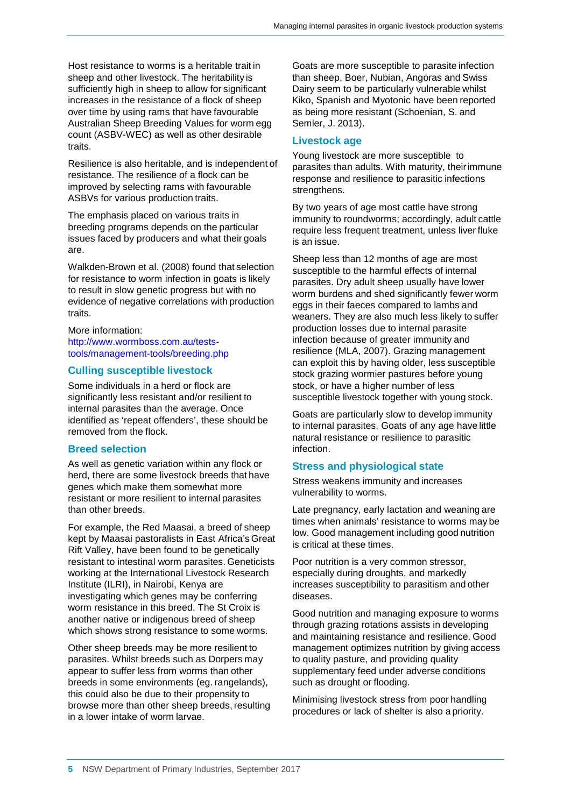Host resistance to worms is a heritable trait in sheep and other livestock. The heritability is sufficiently high in sheep to allow for significant increases in the resistance of a flock of sheep over time by using rams that have favourable Australian Sheep Breeding Values for worm egg count (ASBV-WEC) as well as other desirable traits.

Resilience is also heritable, and is independent of resistance. The resilience of a flock can be improved by selecting rams with favourable ASBVs for various production traits.

The emphasis placed on various traits in breeding programs depends on the particular issues faced by producers and what their goals are.

Walkden-Brown et al. (2008) found that selection for resistance to worm infection in goats is likely to result in slow genetic progress but with no evidence of negative correlations with production traits.

More information: [http://www.wormboss.com.au/tests](http://www.wormboss.com.au/tests-)tools/management-tools/breeding.php

#### **Culling susceptible livestock**

Some individuals in a herd or flock are significantly less resistant and/or resilient to internal parasites than the average. Once identified as 'repeat offenders', these should be removed from the flock.

#### **Breed selection**

As well as genetic variation within any flock or herd, there are some livestock breeds that have genes which make them somewhat more resistant or more resilient to internal parasites than other breeds.

For example, the Red Maasai, a breed of sheep kept by Maasai pastoralists in East Africa's Great Rift Valley, have been found to be genetically resistant to intestinal worm parasites. Geneticists working at the International Livestock Research Institute (ILRI), in Nairobi, Kenya are investigating which genes may be conferring worm resistance in this breed. The St Croix is another native or indigenous breed of sheep which shows strong resistance to some worms.

Other sheep breeds may be more resilient to parasites. Whilst breeds such as Dorpers may appear to suffer less from worms than other breeds in some environments (eg. rangelands), this could also be due to their propensity to browse more than other sheep breeds, resulting in a lower intake of worm larvae.

Goats are more susceptible to parasite infection than sheep. Boer, Nubian, Angoras and Swiss Dairy seem to be particularly vulnerable whilst Kiko, Spanish and Myotonic have been reported as being more resistant (Schoenian, S. and Semler, J. 2013).

#### **Livestock age**

Young livestock are more susceptible to parasites than adults. With maturity, theirimmune response and resilience to parasitic infections strengthens.

By two years of age most cattle have strong immunity to roundworms; accordingly, adult cattle require less frequent treatment, unless liver fluke is an issue.

Sheep less than 12 months of age are most susceptible to the harmful effects of internal parasites. Dry adult sheep usually have lower worm burdens and shed significantly fewer worm eggs in their faeces compared to lambs and weaners. They are also much less likely to suffer production losses due to internal parasite infection because of greater immunity and resilience (MLA, 2007). Grazing management can exploit this by having older, less susceptible stock grazing wormier pastures before young stock, or have a higher number of less susceptible livestock together with young stock.

Goats are particularly slow to develop immunity to internal parasites. Goats of any age have little natural resistance or resilience to parasitic infection.

#### **Stress and physiological state**

Stress weakens immunity and increases vulnerability to worms.

Late pregnancy, early lactation and weaning are times when animals' resistance to worms may be low. Good management including good nutrition is critical at these times.

Poor nutrition is a very common stressor, especially during droughts, and markedly increases susceptibility to parasitism and other diseases.

Good nutrition and managing exposure to worms through grazing rotations assists in developing and maintaining resistance and resilience. Good management optimizes nutrition by giving access to quality pasture, and providing quality supplementary feed under adverse conditions such as drought or flooding.

Minimising livestock stress from poor handling procedures or lack of shelter is also a priority.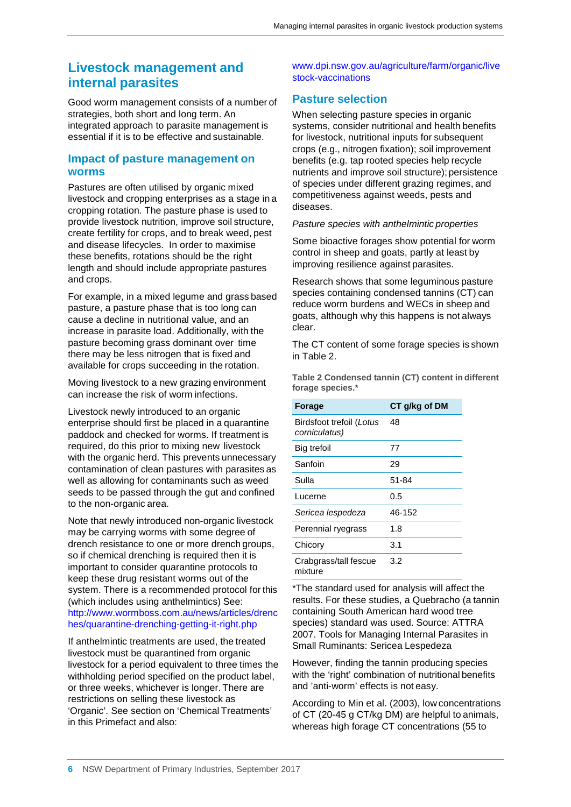## **Livestock management and internal parasites**

Good worm management consists of a number of strategies, both short and long term. An integrated approach to parasite management is essential if it is to be effective and sustainable.

#### **Impact of pasture management on worms**

Pastures are often utilised by organic mixed livestock and cropping enterprises as a stage in a cropping rotation. The pasture phase is used to provide livestock nutrition, improve soil structure, create fertility for crops, and to break weed, pest and disease lifecycles. In order to maximise these benefits, rotations should be the right length and should include appropriate pastures and crops.

For example, in a mixed legume and grass based pasture, a pasture phase that is too long can cause a decline in nutritional value, and an increase in parasite load. Additionally, with the pasture becoming grass dominant over time there may be less nitrogen that is fixed and available for crops succeeding in the rotation.

Moving livestock to a new grazing environment can increase the risk of worm infections.

Livestock newly introduced to an organic enterprise should first be placed in a quarantine paddock and checked for worms. If treatment is required, do this prior to mixing new livestock with the organic herd. This prevents unnecessary contamination of clean pastures with parasites as well as allowing for contaminants such as weed seeds to be passed through the gut and confined to the non-organic area.

Note that newly introduced non-organic livestock may be carrying worms with some degree of drench resistance to one or more drench groups, so if chemical drenching is required then it is important to consider quarantine protocols to keep these drug resistant worms out of the system. There is a recommended protocol for this (which includes using anthelmintics) See: <http://www.wormboss.com.au/news/articles/drenc> hes/quarantine-drenching-getting-it-right.php

If anthelmintic treatments are used, the treated livestock must be quarantined from organic livestock for a period equivalent to three times the withholding period specified on the product label, or three weeks, whichever is longer. There are restrictions on selling these livestock as 'Organic'. See section on 'Chemical Treatments' in this Primefact and also:

[www.dpi.nsw.gov.au/agriculture/farm/organic/live](http://www.dpi.nsw.gov.au/agriculture/farm/organic/live) stock-vaccinations

### **Pasture selection**

When selecting pasture species in organic systems, consider nutritional and health benefits for livestock, nutritional inputs for subsequent crops (e.g., nitrogen fixation); soil improvement benefits (e.g. tap rooted species help recycle nutrients and improve soil structure); persistence of species under different grazing regimes, and competitiveness against weeds, pests and diseases.

#### *Pasture species with anthelmintic properties*

Some bioactive forages show potential for worm control in sheep and goats, partly at least by improving resilience against parasites.

Research shows that some leguminous pasture species containing condensed tannins (CT) can reduce worm burdens and WECs in sheep and goats, although why this happens is not always clear.

The CT content of some forage species is shown in Table 2.

**Table 2 Condensed tannin (CT) content in different forage species.\***

| <b>Forage</b>                             | CT g/kg of DM |
|-------------------------------------------|---------------|
| Birdsfoot trefoil (Lotus<br>corniculatus) | 48            |
| Big trefoil                               | 77            |
| Sanfoin                                   | 29            |
| Sulla                                     | 51-84         |
| Lucerne                                   | 0.5           |
| Sericea lespedeza                         | 46-152        |
| Perennial ryegrass                        | 1.8           |
| Chicory                                   | 3.1           |
| Crabgrass/tall fescue<br>mixture          | 3.2           |

\*The standard used for analysis will affect the results. For these studies, a Quebracho (a tannin containing South American hard wood tree species) standard was used. Source: ATTRA 2007. Tools for Managing Internal Parasites in Small Ruminants: Sericea Lespedeza

However, finding the tannin producing species with the 'right' combination of nutritional benefits and 'anti-worm' effects is not easy.

According to Min et al. (2003), low concentrations of CT (20-45 g CT/kg DM) are helpful to animals, whereas high forage CT concentrations (55 to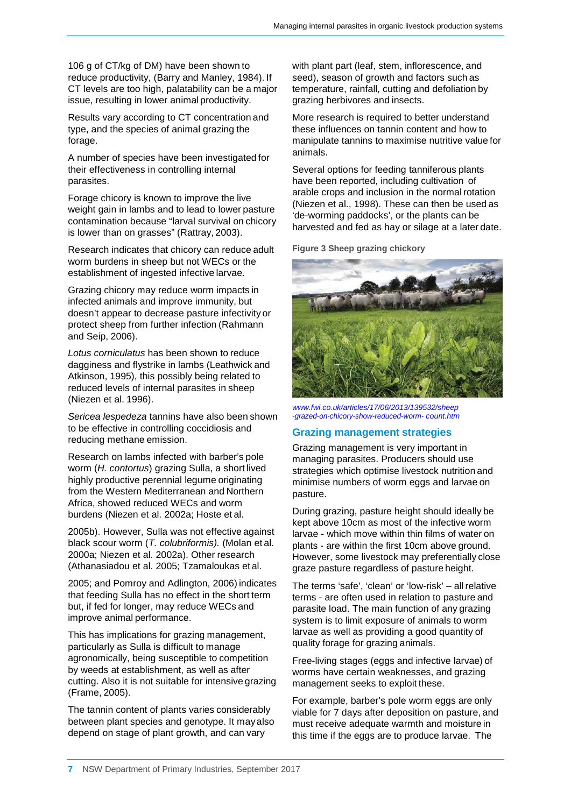106 g of CT/kg of DM) have been shown to reduce productivity, (Barry and Manley, 1984). If CT levels are too high, palatability can be a major issue, resulting in lower animal productivity.

Results vary according to CT concentration and type, and the species of animal grazing the forage.

A number of species have been investigated for their effectiveness in controlling internal parasites.

Forage chicory is known to improve the live weight gain in lambs and to lead to lower pasture contamination because "larval survival on chicory is lower than on grasses" (Rattray, 2003).

Research indicates that chicory can reduce adult worm burdens in sheep but not WECs or the establishment of ingested infective larvae.

Grazing chicory may reduce worm impacts in infected animals and improve immunity, but doesn't appear to decrease pasture infectivity or protect sheep from further infection (Rahmann and Seip, 2006).

*Lotus corniculatus* has been shown to reduce dagginess and flystrike in lambs (Leathwick and Atkinson, 1995), this possibly being related to reduced levels of internal parasites in sheep (Niezen et al. 1996).

*Sericea lespedeza* tannins have also been shown to be effective in controlling coccidiosis and reducing methane emission.

Research on lambs infected with barber's pole worm (*H. contortus*) grazing Sulla, a short lived highly productive perennial legume originating from the Western Mediterranean and Northern Africa, showed reduced WECs and worm burdens (Niezen et al. 2002a; Hoste et al.

2005b). However, Sulla was not effective against black scour worm (*T. colubriformis).* (Molan et al. 2000a; Niezen et al. 2002a). Other research (Athanasiadou et al. 2005; Tzamaloukas et al.

2005; and Pomroy and Adlington, 2006) indicates that feeding Sulla has no effect in the short term but, if fed for longer, may reduce WECs and improve animal performance.

This has implications for grazing management, particularly as Sulla is difficult to manage agronomically, being susceptible to competition by weeds at establishment, as well as after cutting. Also it is not suitable for intensive grazing (Frame, 2005).

The tannin content of plants varies considerably between plant species and genotype. It mayalso depend on stage of plant growth, and can vary

with plant part (leaf, stem, inflorescence, and seed), season of growth and factors such as temperature, rainfall, cutting and defoliation by grazing herbivores and insects.

More research is required to better understand these influences on tannin content and how to manipulate tannins to maximise nutritive value for animals.

Several options for feeding tanniferous plants have been reported, including cultivation of arable crops and inclusion in the normal rotation (Niezen et al., 1998). These can then be used as 'de-worming paddocks', or the plants can be harvested and fed as hay or silage at a later date.

**Figure 3 Sheep grazing chickory**



*[www.fwi.co.uk/articles/17/06/2013/139532/sheep](http://www.fwi.co.uk/articles/17/06/2013/139532/sheep) -grazed-on-chicory-show-reduced-worm- count.htm*

#### **Grazing management strategies**

Grazing management is very important in managing parasites. Producers should use strategies which optimise livestock nutrition and minimise numbers of worm eggs and larvae on pasture.

During grazing, pasture height should ideally be kept above 10cm as most of the infective worm larvae - which move within thin films of water on plants - are within the first 10cm above ground. However, some livestock may preferentially close graze pasture regardless of pasture height.

The terms 'safe', 'clean' or 'low-risk' – allrelative terms - are often used in relation to pasture and parasite load. The main function of any grazing system is to limit exposure of animals to worm larvae as well as providing a good quantity of quality forage for grazing animals.

Free-living stages (eggs and infective larvae) of worms have certain weaknesses, and grazing management seeks to exploit these.

For example, barber's pole worm eggs are only viable for 7 days after deposition on pasture, and must receive adequate warmth and moisture in this time if the eggs are to produce larvae. The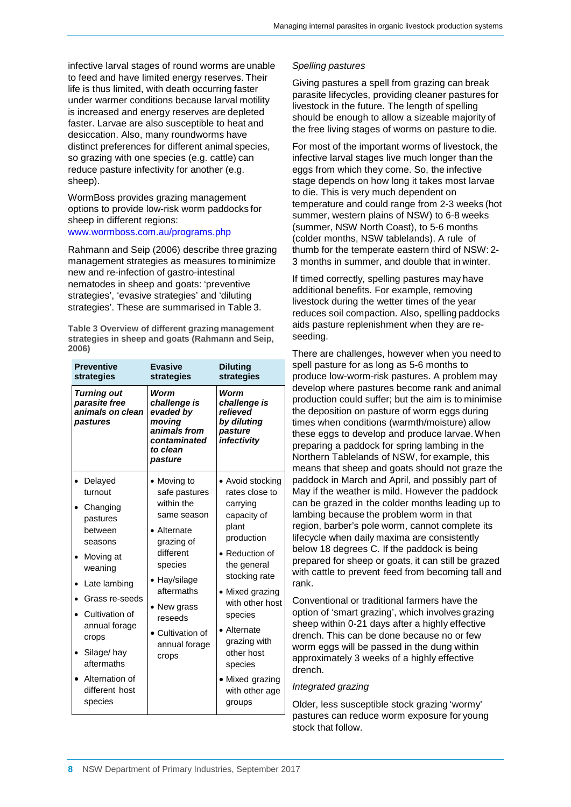infective larval stages of round worms are unable to feed and have limited energy reserves. Their life is thus limited, with death occurring faster under warmer conditions because larval motility is increased and energy reserves are depleted faster. Larvae are also susceptible to heat and desiccation. Also, many roundworms have distinct preferences for different animal species, so grazing with one species (e.g. cattle) can reduce pasture infectivity for another (e.g. sheep).

WormBoss provides grazing management options to provide low-risk worm paddocks for sheep in different regions: [www.wormboss.com.au/programs.php](http://www.wormboss.com.au/programs.php)

## Rahmann and Seip (2006) describe three grazing

management strategies as measures to minimize new and re-infection of gastro-intestinal nematodes in sheep and goats: 'preventive strategies', 'evasive strategies' and 'diluting strategies'. These are summarised in Table 3.

**Table 3 Overview of different grazing management strategies in sheep and goats (Rahmann and Seip, 2006)**

| <b>Preventive</b><br>strategies                                                                                                                                                                                                                   | <b>Evasive</b><br>strategies                                                                                                                                                                                           | <b>Diluting</b><br>strategies                                                                                                                                                                                                                                                            |
|---------------------------------------------------------------------------------------------------------------------------------------------------------------------------------------------------------------------------------------------------|------------------------------------------------------------------------------------------------------------------------------------------------------------------------------------------------------------------------|------------------------------------------------------------------------------------------------------------------------------------------------------------------------------------------------------------------------------------------------------------------------------------------|
| <b>Turning out</b><br>parasite free<br>animals on clean<br>pastures                                                                                                                                                                               | Worm<br>challenge is<br>evaded by<br>moving<br>animals from<br>contaminated<br>to clean<br>pasture                                                                                                                     | Worm<br>challenge is<br>relieved<br>by diluting<br>pasture<br>infectivity                                                                                                                                                                                                                |
| Delayed<br>turnout<br>Changing<br>pastures<br>between<br>seasons<br>Moving at<br>weaning<br>Late lambing<br>Grass re-seeds<br>Cultivation of<br>annual forage<br>crops<br>Silage/hay<br>aftermaths<br>Alternation of<br>different host<br>species | $\bullet$ Moving to<br>safe pastures<br>within the<br>same season<br>Alternate<br>grazing of<br>different<br>species<br>Hay/silage<br>aftermaths<br>New grass<br>reseeds<br>• Cultivation of<br>annual forage<br>crops | • Avoid stocking<br>rates close to<br>carrying<br>capacity of<br>plant<br>production<br>• Reduction of<br>the general<br>stocking rate<br>Mixed grazing<br>with other host<br>species<br>Alternate<br>grazing with<br>other host<br>species<br>Mixed grazing<br>with other age<br>groups |

#### *Spelling pastures*

Giving pastures a spell from grazing can break parasite lifecycles, providing cleaner pastures for livestock in the future. The length of spelling should be enough to allow a sizeable majority of the free living stages of worms on pasture to die.

For most of the important worms of livestock, the infective larval stages live much longer than the eggs from which they come. So, the infective stage depends on how long it takes most larvae to die. This is very much dependent on temperature and could range from 2-3 weeks (hot summer, western plains of NSW) to 6-8 weeks (summer, NSW North Coast), to 5-6 months (colder months, NSW tablelands). A rule of thumb for the temperate eastern third of NSW: 2- 3 months in summer, and double that in winter.

If timed correctly, spelling pastures may have additional benefits. For example, removing livestock during the wetter times of the year reduces soil compaction. Also, spelling paddocks aids pasture replenishment when they are reseeding.

There are challenges, however when you need to spell pasture for as long as 5-6 months to produce low-worm-risk pastures. A problem may develop where pastures become rank and animal production could suffer; but the aim is to minimise the deposition on pasture of worm eggs during times when conditions (warmth/moisture) allow these eggs to develop and produce larvae.When preparing a paddock for spring lambing in the Northern Tablelands of NSW, for example, this means that sheep and goats should not graze the paddock in March and April, and possibly part of May if the weather is mild. However the paddock can be grazed in the colder months leading up to lambing because the problem worm in that region, barber's pole worm, cannot complete its lifecycle when daily maxima are consistently below 18 degrees C. If the paddock is being prepared for sheep or goats, it can still be grazed with cattle to prevent feed from becoming tall and rank.

Conventional or traditional farmers have the option of 'smart grazing', which involves grazing sheep within 0-21 days after a highly effective drench. This can be done because no or few worm eggs will be passed in the dung within approximately 3 weeks of a highly effective drench.

#### *Integrated grazing*

Older, less susceptible stock grazing 'wormy' pastures can reduce worm exposure for young stock that follow.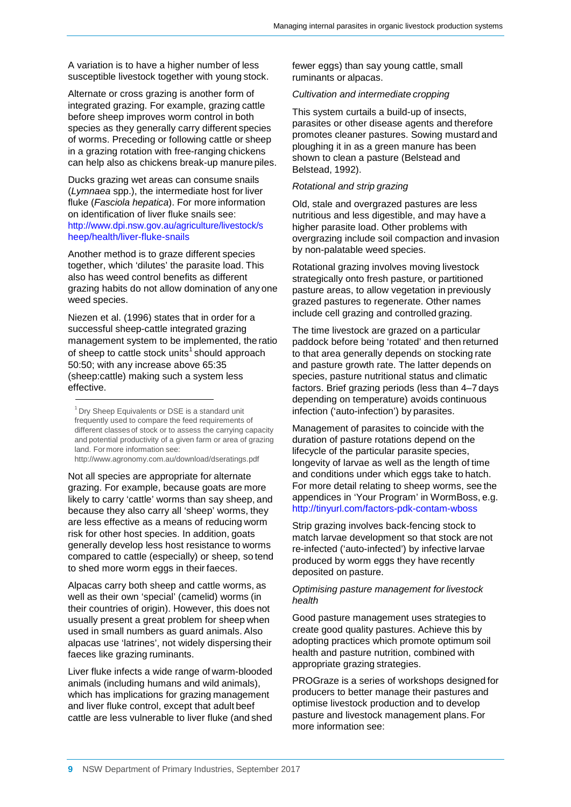A variation is to have a higher number of less susceptible livestock together with young stock.

Alternate or cross grazing is another form of integrated grazing. For example, grazing cattle before sheep improves worm control in both species as they generally carry different species of worms. Preceding or following cattle or sheep in a grazing rotation with free-ranging chickens can help also as chickens break-up manure piles.

Ducks grazing wet areas can consume snails (*Lymnaea* spp.), the intermediate host for liver fluke (*Fasciola hepatica*). For more information on identification of liver fluke snails see: <http://www.dpi.nsw.gov.au/agriculture/livestock/s> heep/health/liver-fluke-snails

Another method is to graze different species together, which 'dilutes' the parasite load. This also has weed control benefits as different grazing habits do not allow domination of any one weed species.

Niezen et al. (1996) states that in order for a successful sheep-cattle integrated grazing management system to be implemented, the ratio of sheep to cattle stock units<sup>1</sup> should approach 50:50; with any increase above 65:35 (sheep:cattle) making such a system less effective.

<http://www.agronomy.com.au/download/dseratings.pdf>

Not all species are appropriate for alternate grazing. For example, because goats are more likely to carry 'cattle' worms than say sheep, and because they also carry all 'sheep' worms, they are less effective as a means of reducing worm risk for other host species. In addition, goats generally develop less host resistance to worms compared to cattle (especially) or sheep, so tend to shed more worm eggs in their faeces.

Alpacas carry both sheep and cattle worms, as well as their own 'special' (camelid) worms (in their countries of origin). However, this does not usually present a great problem for sheep when used in small numbers as guard animals. Also alpacas use 'latrines', not widely dispersing their faeces like grazing ruminants.

Liver fluke infects a wide range of warm-blooded animals (including humans and wild animals), which has implications for grazing management and liver fluke control, except that adult beef cattle are less vulnerable to liver fluke (and shed fewer eggs) than say young cattle, small ruminants or alpacas.

#### *Cultivation and intermediate cropping*

This system curtails a build-up of insects, parasites or other disease agents and therefore promotes cleaner pastures. Sowing mustard and ploughing it in as a green manure has been shown to clean a pasture (Belstead and Belstead, 1992).

#### *Rotational and strip grazing*

Old, stale and overgrazed pastures are less nutritious and less digestible, and may have a higher parasite load. Other problems with overgrazing include soil compaction and invasion by non-palatable weed species.

Rotational grazing involves moving livestock strategically onto fresh pasture, or partitioned pasture areas, to allow vegetation in previously grazed pastures to regenerate. Other names include cell grazing and controlled grazing.

The time livestock are grazed on a particular paddock before being 'rotated' and then returned to that area generally depends on stocking rate and pasture growth rate. The latter depends on species, pasture nutritional status and climatic factors. Brief grazing periods (less than 4–7 days depending on temperature) avoids continuous infection ('auto-infection') by parasites.

Management of parasites to coincide with the duration of pasture rotations depend on the lifecycle of the particular parasite species, longevity of larvae as well as the length of time and conditions under which eggs take to hatch. For more detail relating to sheep worms, see the appendices in 'Your Program' in WormBoss, e.g. <http://tinyurl.com/factors-pdk-contam-wboss>

Strip grazing involves back-fencing stock to match larvae development so that stock are not re-infected ('auto-infected') by infective larvae produced by worm eggs they have recently deposited on pasture.

#### *Optimising pasture management for livestock health*

Good pasture management uses strategies to create good quality pastures. Achieve this by adopting practices which promote optimum soil health and pasture nutrition, combined with appropriate grazing strategies.

PROGraze is a series of workshops designed for producers to better manage their pastures and optimise livestock production and to develop pasture and livestock management plans. For more information see:

<sup>&</sup>lt;sup>1</sup> Dry Sheep Equivalents or DSE is a standard unit frequently used to compare the feed requirements of different classes of stock or to assess the carrying capacity and potential productivity of a given farm or area of grazing land. For more information see[:](http://www.agronomy.com.au/download/dseratings.pdf)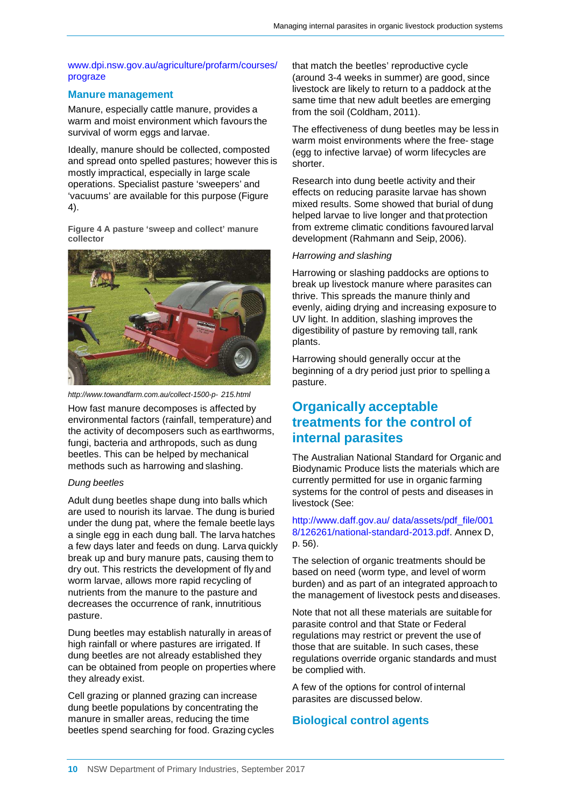#### [www.dpi.nsw.gov.au/agriculture/profarm/courses/](http://www.dpi.nsw.gov.au/agriculture/profarm/courses/) prograze

#### **Manure management**

Manure, especially cattle manure, provides a warm and moist environment which favours the survival of worm eggs and larvae.

Ideally, manure should be collected, composted and spread onto spelled pastures; however this is mostly impractical, especially in large scale operations. Specialist pasture 'sweepers' and 'vacuums' are available for this purpose (Figure 4).

**Figure 4 A pasture 'sweep and collect' manure collector**



*<http://www.towandfarm.com.au/collect-1500-p-> 215.html*

How fast manure decomposes is affected by environmental factors (rainfall, temperature) and the activity of decomposers such as earthworms, fungi, bacteria and arthropods, such as dung beetles. This can be helped by mechanical methods such as harrowing and slashing.

#### *Dung beetles*

Adult dung beetles shape dung into balls which are used to nourish its larvae. The dung is buried under the dung pat, where the female beetle lays a single egg in each dung ball. The larva hatches a few days later and feeds on dung. Larva quickly break up and bury manure pats, causing them to dry out. This restricts the development of fly and worm larvae, allows more rapid recycling of nutrients from the manure to the pasture and decreases the occurrence of rank, innutritious pasture.

Dung beetles may establish naturally in areas of high rainfall or where pastures are irrigated. If dung beetles are not already established they can be obtained from people on properties where they already exist.

Cell grazing or planned grazing can increase dung beetle populations by concentrating the manure in smaller areas, reducing the time beetles spend searching for food. Grazing cycles that match the beetles' reproductive cycle (around 3-4 weeks in summer) are good, since livestock are likely to return to a paddock at the same time that new adult beetles are emerging from the soil (Coldham, 2011).

The effectiveness of dung beetles may be less in warm moist environments where the free- stage (egg to infective larvae) of worm lifecycles are shorter.

Research into dung beetle activity and their effects on reducing parasite larvae has shown mixed results. Some showed that burial of dung helped larvae to live longer and that protection from extreme climatic conditions favoured larval development (Rahmann and Seip, 2006).

#### *Harrowing and slashing*

Harrowing or slashing paddocks are options to break up livestock manure where parasites can thrive. This spreads the manure thinly and evenly, aiding drying and increasing exposure to UV light. In addition, slashing improves the digestibility of pasture by removing tall, rank plants.

Harrowing should generally occur at the beginning of a dry period just prior to spelling a pasture.

## **Organically acceptable treatments for the control of internal parasites**

The Australian National Standard for Organic and Biodynamic Produce lists the materials which are currently permitted for use in organic farming systems for the control of pests and diseases in livestock (See:

#### <http://www.daff.gov.au/> data/assets/pdf\_file/001 8/126261/national-standard-2013.pdf. Annex D, p. 56).

The selection of organic treatments should be based on need (worm type, and level of worm burden) and as part of an integrated approach to the management of livestock pests and diseases.

Note that not all these materials are suitable for parasite control and that State or Federal regulations may restrict or prevent the use of those that are suitable. In such cases, these regulations override organic standards and must be complied with.

A few of the options for control of internal parasites are discussed below.

#### **Biological control agents**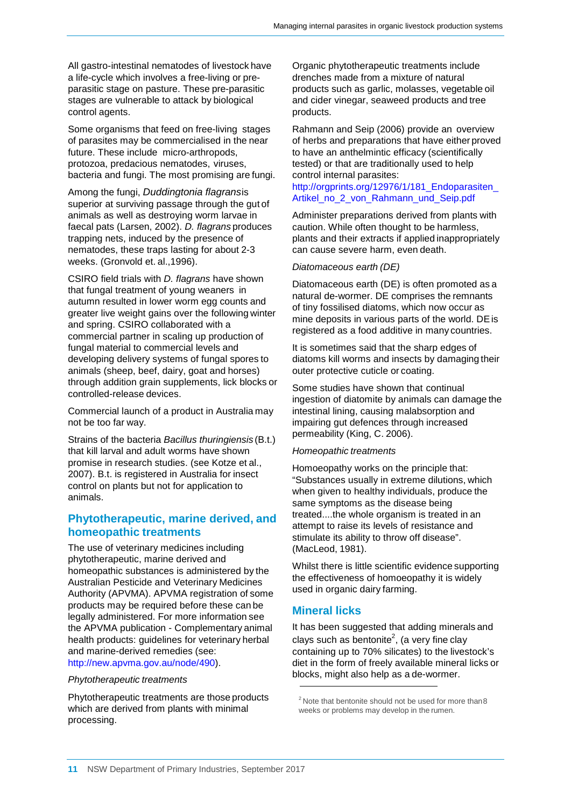All gastro-intestinal nematodes of livestock have a life-cycle which involves a free-living or preparasitic stage on pasture. These pre-parasitic stages are vulnerable to attack by biological control agents.

Some organisms that feed on free-living stages of parasites may be commercialised in the near future. These include micro-arthropods, protozoa, predacious nematodes, viruses, bacteria and fungi. The most promising are fungi.

Among the fungi, *Duddingtonia flagrans*is superior at surviving passage through the gut of animals as well as destroying worm larvae in faecal pats (Larsen, 2002). *D. flagrans* produces trapping nets, induced by the presence of nematodes, these traps lasting for about 2-3 weeks. (Gronvold et. al.,1996).

CSIRO field trials with *D. flagrans* have shown that fungal treatment of young weaners in autumn resulted in lower worm egg counts and greater live weight gains over the following winter and spring. CSIRO collaborated with a commercial partner in scaling up production of fungal material to commercial levels and developing delivery systems of fungal spores to animals (sheep, beef, dairy, goat and horses) through addition grain supplements, lick blocks or controlled-release devices.

Commercial launch of a product in Australia may not be too far way.

Strains of the bacteria *Bacillus thuringiensis* (B.t.) that kill larval and adult worms have shown promise in research studies. (see Kotze et al., 2007). B.t. is registered in Australia for insect control on plants but not for application to animals.

#### **Phytotherapeutic, marine derived, and homeopathic treatments**

The use of veterinary medicines including phytotherapeutic, marine derived and homeopathic substances is administered by the Australian Pesticide and Veterinary Medicines Authority (APVMA). APVMA registration of some products may be required before these can be legally administered. For more information see the APVMA publication - Complementary animal health products: guidelines for veterinary herbal and marine-derived remedies (see: [http://new.apvma.gov.au/node/490\).](http://new.apvma.gov.au/node/490))

#### *Phytotherapeutic treatments*

Phytotherapeutic treatments are those products which are derived from plants with minimal processing.

Organic phytotherapeutic treatments include drenches made from a mixture of natural products such as garlic, molasses, vegetable oil and cider vinegar, seaweed products and tree products.

Rahmann and Seip (2006) provide an overview of herbs and preparations that have either proved to have an anthelmintic efficacy (scientifically tested) or that are traditionally used to help control internal parasites:

#### [http://orgprints.org/12976/1/181\\_Endoparasiten\\_](http://orgprints.org/12976/1/181_Endoparasiten_) Artikel\_no\_2\_von\_Rahmann\_und\_Seip.pdf

Administer preparations derived from plants with caution. While often thought to be harmless, plants and their extracts if applied inappropriately can cause severe harm, even death.

#### *Diatomaceous earth (DE)*

Diatomaceous earth (DE) is often promoted as a natural de-wormer. DE comprises the remnants of tiny fossilised diatoms, which now occur as mine deposits in various parts of the world. DEis registered as a food additive in many countries.

It is sometimes said that the sharp edges of diatoms kill worms and insects by damaging their outer protective cuticle or coating.

Some studies have shown that continual ingestion of diatomite by animals can damage the intestinal lining, causing malabsorption and impairing gut defences through increased permeability (King, C. 2006).

#### *Homeopathic treatments*

Homoeopathy works on the principle that: "Substances usually in extreme dilutions, which when given to healthy individuals, produce the same symptoms as the disease being treated....the whole organism is treated in an attempt to raise its levels of resistance and stimulate its ability to throw off disease". (MacLeod, 1981).

Whilst there is little scientific evidence supporting the effectiveness of homoeopathy it is widely used in organic dairy farming.

#### **Mineral licks**

It has been suggested that adding minerals and clays such as bentonite<sup>2</sup>, (a very fine clay containing up to 70% silicates) to the livestock's diet in the form of freely available mineral licks or blocks, might also help as a de-wormer.

 $2$  Note that bentonite should not be used for more than 8 weeks or problems may develop in the rumen.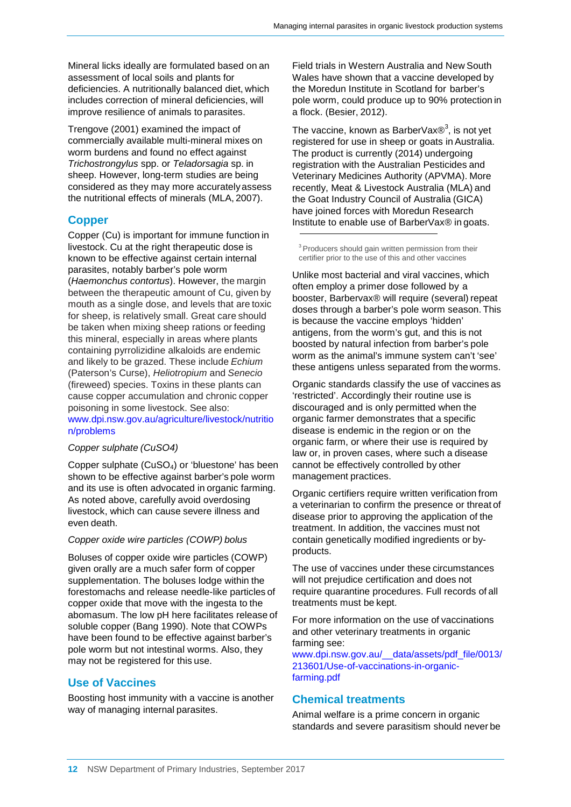Mineral licks ideally are formulated based on an assessment of local soils and plants for deficiencies. A nutritionally balanced diet, which includes correction of mineral deficiencies, will improve resilience of animals to parasites.

Trengove (2001) examined the impact of commercially available multi-mineral mixes on worm burdens and found no effect against *Trichostrongylus* spp. or *Teladorsagia* sp. in sheep. However, long-term studies are being considered as they may more accuratelyassess the nutritional effects of minerals (MLA, 2007).

#### **Copper**

Copper (Cu) is important for immune function in livestock. Cu at the right therapeutic dose is known to be effective against certain internal parasites, notably barber's pole worm (*Haemonchus contortus*). However, the margin between the therapeutic amount of Cu, given by mouth as a single dose, and levels that are toxic for sheep, is relatively small. Great care should be taken when mixing sheep rations or feeding this mineral, especially in areas where plants containing pyrrolizidine alkaloids are endemic and likely to be grazed. These include *Echium* (Paterson's Curse), *Heliotropium* and *Senecio* (fireweed) species. Toxins in these plants can cause copper accumulation and chronic copper poisoning in some livestock. See also: [www.dpi.nsw.gov.au/agriculture/livestock/nutritio](http://www.dpi.nsw.gov.au/agriculture/livestock/nutritio) n/problems

#### *Copper sulphate (CuSO4)*

Copper sulphate (CuSO4) or 'bluestone' has been shown to be effective against barber's pole worm and its use is often advocated in organic farming. As noted above, carefully avoid overdosing livestock, which can cause severe illness and even death.

#### *Copper oxide wire particles (COWP) bolus*

Boluses of copper oxide wire particles (COWP) given orally are a much safer form of copper supplementation. The boluses lodge within the forestomachs and release needle-like particles of copper oxide that move with the ingesta to the abomasum. The low pH here facilitates release of soluble copper (Bang 1990). Note that COWPs have been found to be effective against barber's pole worm but not intestinal worms. Also, they may not be registered for this use.

#### **Use of Vaccines**

Boosting host immunity with a vaccine is another way of managing internal parasites.

Field trials in Western Australia and New South Wales have shown that a vaccine developed by the Moredun Institute in Scotland for barber's pole worm, could produce up to 90% protection in a flock. (Besier, 2012).

The vaccine, known as BarberVax $\circledR^3$ , is not yet registered for use in sheep or goats in Australia. The product is currently (2014) undergoing registration with the Australian Pesticides and Veterinary Medicines Authority (APVMA). More recently, Meat & Livestock Australia (MLA) and the Goat Industry Council of Australia (GICA) have joined forces with Moredun Research Institute to enable use of BarberVax® in goats.

<sup>3</sup> Producers should gain written permission from their certifier prior to the use of this and other vaccines

Unlike most bacterial and viral vaccines, which often employ a primer dose followed by a booster, Barbervax® will require (several) repeat doses through a barber's pole worm season. This is because the vaccine employs 'hidden' antigens, from the worm's gut, and this is not boosted by natural infection from barber's pole worm as the animal's immune system can't 'see' these antigens unless separated from the worms.

Organic standards classify the use of vaccines as 'restricted'. Accordingly their routine use is discouraged and is only permitted when the organic farmer demonstrates that a specific disease is endemic in the region or on the organic farm, or where their use is required by law or, in proven cases, where such a disease cannot be effectively controlled by other management practices.

Organic certifiers require written verification from a veterinarian to confirm the presence or threat of disease prior to approving the application of the treatment. In addition, the vaccines must not contain genetically modified ingredients or byproducts.

The use of vaccines under these circumstances will not prejudice certification and does not require quarantine procedures. Full records of all treatments must be kept.

For more information on the use of vaccinations and other veterinary treatments in organic farming see:

[www.dpi.nsw.gov.au/\\_\\_data/assets/pdf\\_file/0013/](http://www.dpi.nsw.gov.au/__data/assets/pdf_file/0013/) 213601/Use-of-vaccinations-in-organicfarming.pdf

#### **Chemical treatments**

Animal welfare is a prime concern in organic standards and severe parasitism should never be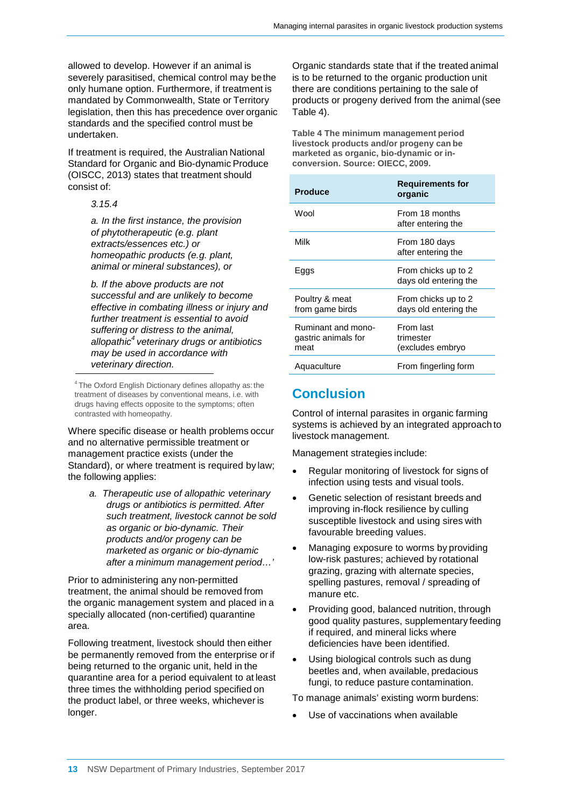allowed to develop. However if an animal is severely parasitised, chemical control may bethe only humane option. Furthermore, if treatment is mandated by Commonwealth, State or Territory legislation, then this has precedence over organic standards and the specified control must be undertaken.

If treatment is required, the Australian National Standard for Organic and Bio-dynamic Produce (OISCC, 2013) states that treatment should consist of:

*3.15.4*

*a. In the first instance, the provision of phytotherapeutic (e.g. plant extracts/essences etc.) or homeopathic products (e.g. plant, animal or mineral substances), or*

*b. If the above products are not successful and are unlikely to become effective in combating illness or injury and further treatment is essential to avoid suffering or distress to the animal, allopathic4 veterinary drugs or antibiotics may be used in accordance with veterinary direction.*

Where specific disease or health problems occur and no alternative permissible treatment or management practice exists (under the Standard), or where treatment is required by law; the following applies:

> *a. Therapeutic use of allopathic veterinary drugs or antibiotics is permitted. After such treatment, livestock cannot be sold as organic or bio-dynamic. Their products and/or progeny can be marketed as organic or bio-dynamic after a minimum management period…'*

Prior to administering any non-permitted treatment, the animal should be removed from the organic management system and placed in a specially allocated (non-certified) quarantine area.

Following treatment, livestock should then either be permanently removed from the enterprise or if being returned to the organic unit, held in the quarantine area for a period equivalent to at least three times the withholding period specified on the product label, or three weeks, whichever is longer.

Organic standards state that if the treated animal is to be returned to the organic production unit there are conditions pertaining to the sale of products or progeny derived from the animal(see Table 4).

**Table 4 The minimum management period livestock products and/or progeny can be marketed as organic, bio-dynamic or inconversion. Source: OIECC, 2009.**

| <b>Produce</b>                                    | <b>Requirements for</b><br>organic           |
|---------------------------------------------------|----------------------------------------------|
| Wool                                              | From 18 months<br>after entering the         |
| Milk                                              | From 180 days<br>after entering the          |
| Eggs                                              | From chicks up to 2<br>days old entering the |
| Poultry & meat<br>from game birds                 | From chicks up to 2<br>days old entering the |
| Ruminant and mono-<br>gastric animals for<br>meat | From last<br>trimester<br>(excludes embryo   |
| Aquaculture                                       | From fingerling form                         |

## **Conclusion**

Control of internal parasites in organic farming systems is achieved by an integrated approach to livestock management.

Management strategies include:

- Regular monitoring of livestock for signs of infection using tests and visual tools.
- Genetic selection of resistant breeds and improving in-flock resilience by culling susceptible livestock and using sires with favourable breeding values.
- Managing exposure to worms by providing low-risk pastures; achieved by rotational grazing, grazing with alternate species, spelling pastures, removal / spreading of manure etc.
- Providing good, balanced nutrition, through good quality pastures, supplementary feeding if required, and mineral licks where deficiencies have been identified.
- Using biological controls such as dung beetles and, when available, predacious fungi, to reduce pasture contamination.

To manage animals' existing worm burdens:

Use of vaccinations when available

<sup>4</sup> The Oxford English Dictionary defines allopathy as:the treatment of diseases by conventional means, i.e. with drugs having effects opposite to the symptoms; often contrasted with homeopathy.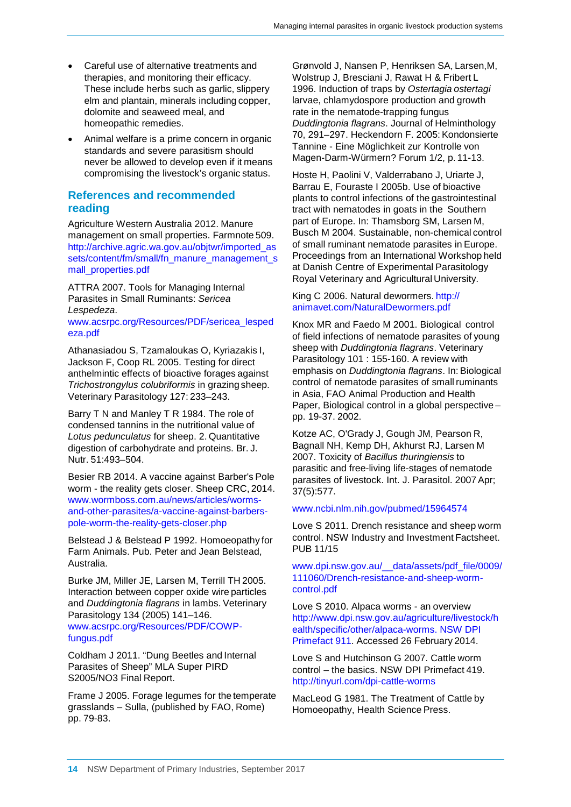- Careful use of alternative treatments and therapies, and monitoring their efficacy. These include herbs such as garlic, slippery elm and plantain, minerals including copper, dolomite and seaweed meal, and homeopathic remedies.
- Animal welfare is a prime concern in organic standards and severe parasitism should never be allowed to develop even if it means compromising the livestock's organic status.

#### **References and recommended reading**

Agriculture Western Australia 2012. Manure management on small properties. Farmnote 509. [http://archive.agric.wa.gov.au/objtwr/imported\\_as](http://archive.agric.wa.gov.au/objtwr/imported_as) sets/content/fm/small/fn\_manure\_management\_s mall\_properties.pdf

ATTRA 2007. Tools for Managing Internal Parasites in Small Ruminants: *Sericea Lespedeza*.

[www.acsrpc.org/Resources/PDF/sericea\\_lesped](http://www.acsrpc.org/Resources/PDF/sericea_lesped) eza.pdf

Athanasiadou S, Tzamaloukas O, Kyriazakis I, Jackson F, Coop RL 2005. Testing for direct anthelmintic effects of bioactive forages against *Trichostrongylus colubriformis* in grazing sheep. Veterinary Parasitology 127: 233–243.

Barry T N and Manley T R 1984. The role of condensed tannins in the nutritional value of *Lotus pedunculatus* for sheep. 2. Quantitative digestion of carbohydrate and proteins. Br. J. Nutr. 51:493–504.

Besier RB 2014. A vaccine against Barber's Pole worm - the reality gets closer. Sheep CRC, 2014. [www.wormboss.com.au/news/articles/worms](http://www.wormboss.com.au/news/articles/worms-)and-other-parasites/a-vaccine-against-barberspole-worm-the-reality-gets-closer.php

Belstead J & Belstead P 1992. Homoeopathy for Farm Animals. Pub. Peter and Jean Belstead, Australia.

Burke JM, Miller JE, Larsen M, Terrill TH 2005. Interaction between copper oxide wire particles and *Duddingtonia flagrans* in lambs. Veterinary Parasitology 134 (2005) 141–146.

[www.acsrpc.org/Resources/PDF/COWP](http://www.acsrpc.org/Resources/PDF/COWP-)fungus.pdf

Coldham J 2011. "Dung Beetles and Internal Parasites of Sheep" MLA Super PIRD S2005/NO3 Final Report.

Frame J 2005. Forage legumes for the temperate grasslands – Sulla, (published by FAO, Rome) pp. 79-83.

Grønvold J, Nansen P, Henriksen SA, Larsen,M, Wolstrup J, Bresciani J, Rawat H & Fribert L 1996. Induction of traps by *Ostertagia ostertagi* larvae, chlamydospore production and growth rate in the nematode-trapping fungus *Duddingtonia flagrans*. Journal of Helminthology 70, 291–297. Heckendorn F. 2005: Kondonsierte Tannine - Eine Möglichkeit zur Kontrolle von Magen-Darm-Würmern? Forum 1/2, p. 11-13.

Hoste H, Paolini V, Valderrabano J, Uriarte J, Barrau E, Fouraste I 2005b. Use of bioactive plants to control infections of the gastrointestinal tract with nematodes in goats in the Southern part of Europe. In: Thamsborg SM, Larsen M, Busch M 2004. Sustainable, non-chemical control of small ruminant nematode parasites in Europe. Proceedings from an International Workshop held at Danish Centre of Experimental Parasitology Royal Veterinary and Agricultural University.

King C 2006. Natural dewormers. http:// animavet.com/NaturalDewormers.pdf

Knox MR and Faedo M 2001. Biological control of field infections of nematode parasites of young sheep with *Duddingtonia flagrans*. Veterinary Parasitology 101 : 155-160. A review with emphasis on *Duddingtonia flagrans*. In: Biological control of nematode parasites of small ruminants in Asia, FAO Animal Production and Health Paper, Biological control in a global perspective – pp. 19-37. 2002.

Kotze AC, O'Grady J, Gough JM, Pearson R, Bagnall NH, Kemp DH, Akhurst RJ, Larsen M 2007. Toxicity of *Bacillus thuringiensis* to parasitic and free-living life-stages of nematode parasites of livestock. Int. J. Parasitol. 2007Apr; 37(5):577.

#### [www.ncbi.nlm.nih.gov/pubmed/15964574](http://www.ncbi.nlm.nih.gov/pubmed/15964574)

Love S 2011. Drench resistance and sheep worm control. NSW Industry and Investment Factsheet. PUB 11/15

[www.dpi.nsw.gov.au/\\_\\_data/assets/pdf\\_file/0009/](http://www.dpi.nsw.gov.au/__data/assets/pdf_file/0009/) 111060/Drench-resistance-and-sheep-wormcontrol.pdf

Love S 2010. Alpaca worms - an overview <http://www.dpi.nsw.gov.au/agriculture/livestock/h> ealth/specific/other/alpaca-worms. NSW DPI Primefact 911. Accessed 26 February 2014.

Love S and Hutchinson G 2007. Cattle worm control – the basics. NSW DPI Primefact 419. <http://tinyurl.com/dpi-cattle-worms>

MacLeod G 1981. The Treatment of Cattle by Homoeopathy, Health Science Press.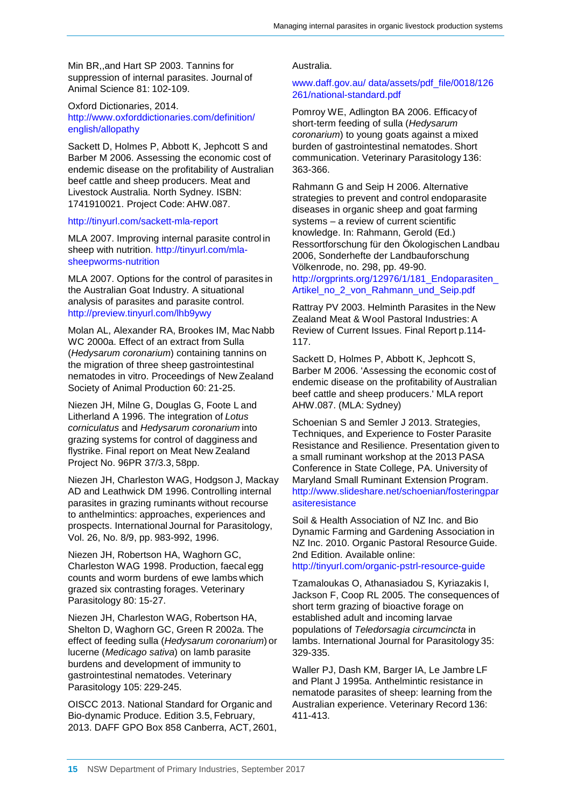Min BR,,and Hart SP 2003. Tannins for suppression of internal parasites. Journal of Animal Science 81: 102-109.

Oxford Dictionaries, 2014. <http://www.oxforddictionaries.com/definition/> english/allopathy

Sackett D, Holmes P, Abbott K, Jephcott S and Barber M 2006. Assessing the economic cost of endemic disease on the profitability of Australian beef cattle and sheep producers. Meat and Livestock Australia. North Sydney. ISBN: 1741910021. Project Code: AHW.087.

#### <http://tinyurl.com/sackett-mla-report>

MLA 2007. Improving internal parasite control in sheep with nutrition. [http://tinyurl.com/mla](http://tinyurl.com/mla-)sheepworms-nutrition

MLA 2007. Options for the control of parasites in the Australian Goat Industry. A situational analysis of parasites and parasite control. <http://preview.tinyurl.com/lhb9ywy>

Molan AL, Alexander RA, Brookes IM, Mac Nabb WC 2000a. Effect of an extract from Sulla (*Hedysarum coronarium*) containing tannins on the migration of three sheep gastrointestinal nematodes in vitro. Proceedings of New Zealand Society of Animal Production 60: 21-25.

Niezen JH, Milne G, Douglas G, Foote L and Litherland A 1996. The integration of *Lotus corniculatus* and *Hedysarum coronarium* into grazing systems for control of dagginess and flystrike. Final report on Meat New Zealand Project No. 96PR 37/3.3, 58pp.

Niezen JH, Charleston WAG, Hodgson J, Mackay AD and Leathwick DM 1996. Controlling internal parasites in grazing ruminants without recourse to anthelmintics: approaches, experiences and prospects. International Journal for Parasitology, Vol. 26, No. 8/9, pp. 983-992, 1996.

Niezen JH, Robertson HA, Waghorn GC, Charleston WAG 1998. Production, faecal egg counts and worm burdens of ewe lambs which grazed six contrasting forages. Veterinary Parasitology 80: 15-27.

Niezen JH, Charleston WAG, Robertson HA, Shelton D, Waghorn GC, Green R 2002a. The effect of feeding sulla (*Hedysarum coronarium*) or lucerne (*Medicago sativa*) on lamb parasite burdens and development of immunity to gastrointestinal nematodes. Veterinary Parasitology 105: 229-245.

OISCC 2013. National Standard for Organic and Bio-dynamic Produce. Edition 3.5, February, 2013. DAFF GPO Box 858 Canberra, ACT, 2601,

#### Australia.

#### [www.daff.gov.au/](http://www.daff.gov.au/) data/assets/pdf\_file/0018/126 261/national-standard.pdf

Pomroy WE, Adlington BA 2006. Efficacy of short-term feeding of sulla (*Hedysarum coronarium*) to young goats against a mixed burden of gastrointestinal nematodes. Short communication. Veterinary Parasitology 136: 363-366.

Rahmann G and Seip H 2006. Alternative strategies to prevent and control endoparasite diseases in organic sheep and goat farming systems – a review of current scientific knowledge. In: Rahmann, Gerold (Ed.) Ressortforschung für den Ökologischen Landbau 2006, Sonderhefte der Landbauforschung Völkenrode, no. 298, pp. 49-90. http://orgprints.org/12976/1/181\_Endoparasiten

Artikel\_no\_2\_von\_Rahmann\_und\_Seip.pdf

Rattray PV 2003. Helminth Parasites in the New Zealand Meat & Wool Pastoral Industries: A Review of Current Issues. Final Report p.114- 117.

Sackett D, Holmes P, Abbott K, Jephcott S, Barber M 2006. 'Assessing the economic cost of endemic disease on the profitability of Australian beef cattle and sheep producers.' MLA report AHW.087. (MLA: Sydney)

Schoenian S and Semler J 2013. Strategies, Techniques, and Experience to Foster Parasite Resistance and Resilience. Presentation given to a small ruminant workshop at the 2013 PASA Conference in State College, PA. University of Maryland Small Ruminant Extension Program. <http://www.slideshare.net/schoenian/fosteringpar> asiteresistance

Soil & Health Association of NZ Inc. and Bio Dynamic Farming and Gardening Association in NZ Inc. 2010. Organic Pastoral Resource Guide. 2nd Edition. Available online:

<http://tinyurl.com/organic-pstrl-resource-guide>

Tzamaloukas O, Athanasiadou S, Kyriazakis I, Jackson F, Coop RL 2005. The consequences of short term grazing of bioactive forage on established adult and incoming larvae populations of *Teledorsagia circumcincta* in lambs. International Journal for Parasitology 35: 329-335.

Waller PJ, Dash KM, Barger IA, Le Jambre LF and Plant J 1995a. Anthelmintic resistance in nematode parasites of sheep: learning from the Australian experience. Veterinary Record 136: 411-413.